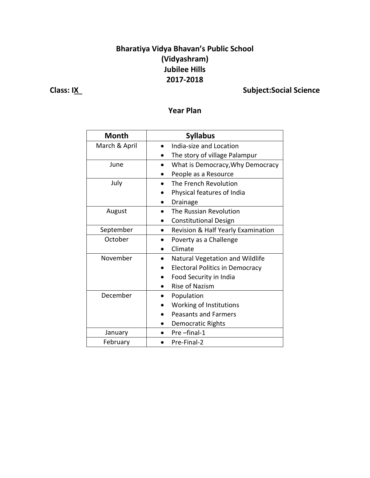## **Bharatiya Vidya Bhavan's Public School (Vidyashram) Jubilee Hills 2017-2018**

## **Class: IX** Class: IX

### **Year Plan**

| <b>Month</b>  | <b>Syllabus</b>                         |
|---------------|-----------------------------------------|
| March & April | India-size and Location                 |
|               | The story of village Palampur           |
| June          | What is Democracy, Why Democracy        |
|               | People as a Resource                    |
| July          | The French Revolution                   |
|               | Physical features of India              |
|               | Drainage                                |
| August        | The Russian Revolution                  |
|               | <b>Constitutional Design</b>            |
| September     | Revision & Half Yearly Examination<br>٠ |
| October       | Poverty as a Challenge                  |
|               | Climate                                 |
| November      | Natural Vegetation and Wildlife         |
|               | <b>Electoral Politics in Democracy</b>  |
|               | Food Security in India                  |
|               | <b>Rise of Nazism</b>                   |
| December      | Population                              |
|               | Working of Institutions                 |
|               | <b>Peasants and Farmers</b>             |
|               | Democratic Rights                       |
| January       | Pre-final-1                             |
| February      | Pre-Final-2                             |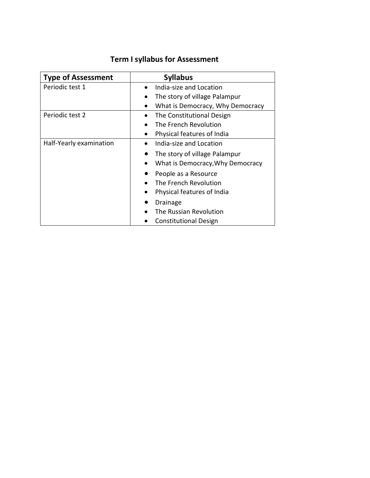## **Term I syllabus for Assessment**

| <b>Type of Assessment</b> | <b>Syllabus</b>                  |
|---------------------------|----------------------------------|
| Periodic test 1           | India-size and Location          |
|                           | The story of village Palampur    |
|                           | What is Democracy, Why Democracy |
| Periodic test 2           | The Constitutional Design        |
|                           | The French Revolution            |
|                           | Physical features of India       |
| Half-Yearly examination   | India-size and Location          |
|                           | The story of village Palampur    |
|                           | What is Democracy, Why Democracy |
|                           | People as a Resource             |
|                           | The French Revolution            |
|                           | Physical features of India       |
|                           | Drainage                         |
|                           | The Russian Revolution           |
|                           | <b>Constitutional Design</b>     |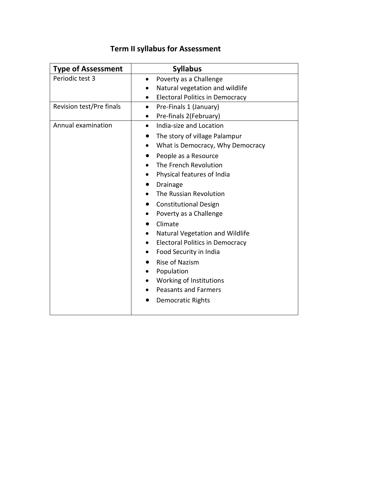| <b>Type of Assessment</b> | <b>Syllabus</b>                                     |
|---------------------------|-----------------------------------------------------|
| Periodic test 3           | Poverty as a Challenge<br>$\bullet$                 |
|                           | Natural vegetation and wildlife<br>$\bullet$        |
|                           | <b>Electoral Politics in Democracy</b><br>$\bullet$ |
| Revision test/Pre finals  | Pre-Finals 1 (January)<br>$\bullet$                 |
|                           | Pre-finals 2(February)                              |
| Annual examination        | India-size and Location<br>$\bullet$                |
|                           | The story of village Palampur                       |
|                           | What is Democracy, Why Democracy<br>$\bullet$       |
|                           | People as a Resource<br>$\bullet$                   |
|                           | The French Revolution                               |
|                           | Physical features of India                          |
|                           | Drainage                                            |
|                           | The Russian Revolution                              |
|                           | <b>Constitutional Design</b>                        |
|                           | Poverty as a Challenge<br>$\bullet$                 |
|                           | Climate                                             |
|                           | Natural Vegetation and Wildlife                     |
|                           | <b>Electoral Politics in Democracy</b>              |
|                           | Food Security in India                              |
|                           | <b>Rise of Nazism</b>                               |
|                           | Population                                          |
|                           | Working of Institutions                             |
|                           | <b>Peasants and Farmers</b>                         |
|                           | <b>Democratic Rights</b>                            |
|                           |                                                     |

# **Term II syllabus for Assessment**